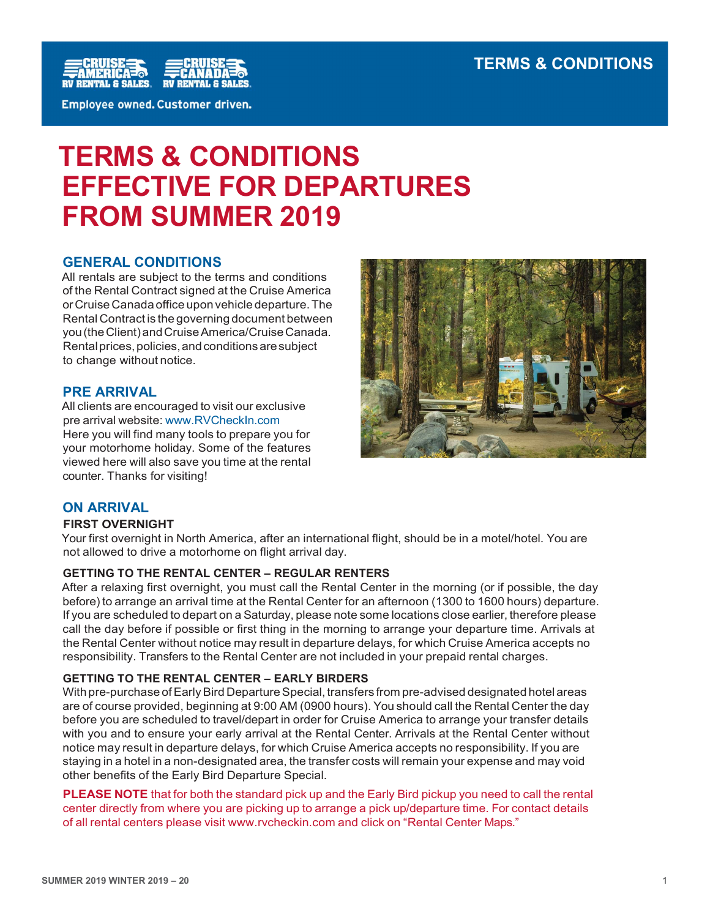

# TERMS & CONDITIONS EFFECTIVE FOR DEPARTURES FROM SUMMER 2019

# GENERAL CONDITIONS

All rentals are subject to the terms and conditions of the Rental Contract signed at the Cruise America or Cruise Canada office upon vehicle departure. The Rental Contract is the governing document between you (the Client) and Cruise America/Cruise Canada. Rental prices, policies, and conditions are subject to change without notice.

# PRE ARRIVAL

All clients are encouraged to visit our exclusive pre arrival website: www.RVCheckIn.com Here you will find many tools to prepare you for your motorhome holiday. Some of the features viewed here will also save you time at the rental counter. Thanks for visiting!



# ON ARRIVAL

# FIRST OVERNIGHT

Your first overnight in North America, after an international flight, should be in a motel/hotel. You are not allowed to drive a motorhome on flight arrival day.

# GETTING TO THE RENTAL CENTER – REGULAR RENTERS

After a relaxing first overnight, you must call the Rental Center in the morning (or if possible, the day before) to arrange an arrival time at the Rental Center for an afternoon (1300 to 1600 hours) departure. If you are scheduled to depart on a Saturday, please note some locations close earlier, therefore please call the day before if possible or first thing in the morning to arrange your departure time. Arrivals at the Rental Center without notice may result in departure delays, for which Cruise America accepts no responsibility. Transfers to the Rental Center are not included in your prepaid rental charges.

# GETTING TO THE RENTAL CENTER – EARLY BIRDERS

With pre-purchase of Early Bird Departure Special, transfers from pre-advised designated hotel areas are of course provided, beginning at 9:00 AM (0900 hours). You should call the Rental Center the day before you are scheduled to travel/depart in order for Cruise America to arrange your transfer details with you and to ensure your early arrival at the Rental Center. Arrivals at the Rental Center without notice may result in departure delays, for which Cruise America accepts no responsibility. If you are staying in a hotel in a non-designated area, the transfer costs will remain your expense and may void other benefits of the Early Bird Departure Special.

**PLEASE NOTE** that for both the standard pick up and the Early Bird pickup you need to call the rental center directly from where you are picking up to arrange a pick up/departure time. For contact details of all rental centers please visit www.rvcheckin.com and click on "Rental Center Maps."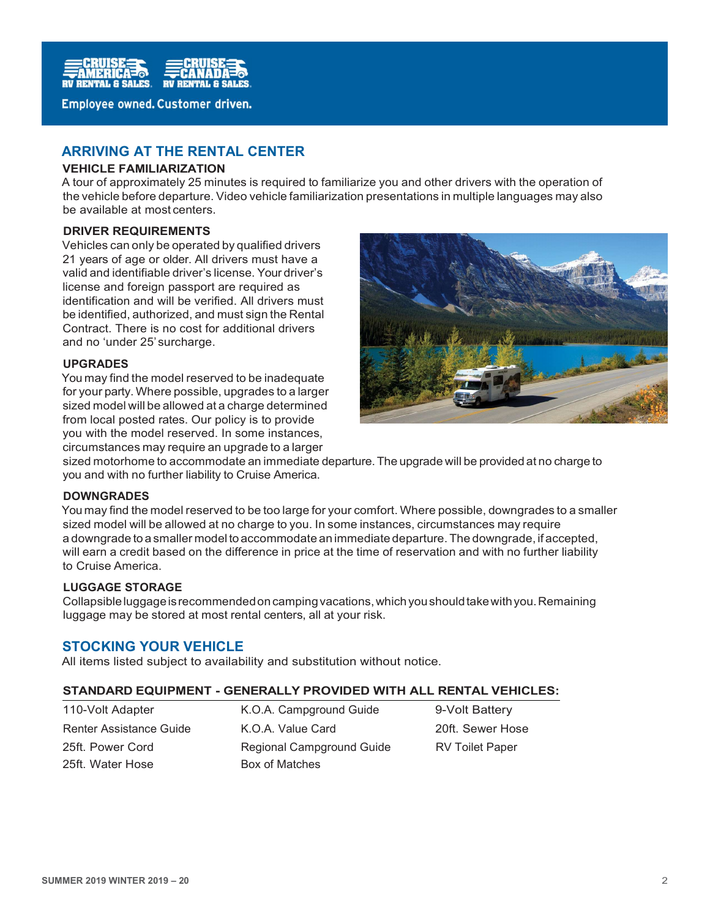

# ARRIVING AT THE RENTAL CENTER

#### VEHICLE FAMILIARIZATION

A tour of approximately 25 minutes is required to familiarize you and other drivers with the operation of the vehicle before departure. Video vehicle familiarization presentations in multiple languages may also be available at most centers.

#### DRIVER REQUIREMENTS

Vehicles can only be operated by qualified drivers 21 years of age or older. All drivers must have a valid and identifiable driver's license. Your driver's license and foreign passport are required as identification and will be verified. All drivers must be identified, authorized, and must sign the Rental Contract. There is no cost for additional drivers and no 'under 25' surcharge.

#### UPGRADES

You may find the model reserved to be inadequate for your party. Where possible, upgrades to a larger sized model will be allowed at a charge determined from local posted rates. Our policy is to provide you with the model reserved. In some instances, circumstances may require an upgrade to a larger



sized motorhome to accommodate an immediate departure. The upgrade will be provided at no charge to you and with no further liability to Cruise America.

## DOWNGRADES

You may find the model reserved to be too large for your comfort. Where possible, downgrades to a smaller sized model will be allowed at no charge to you. In some instances, circumstances may require a downgrade to a smaller model to accommodate an immediate departure. The downgrade, if accepted, will earn a credit based on the difference in price at the time of reservation and with no further liability to Cruise America.

## LUGGAGE STORAGE

Collapsible luggage is recommended on camping vacations, which you should take with you. Remaining luggage may be stored at most rental centers, all at your risk.

# STOCKING YOUR VEHICLE

All items listed subject to availability and substitution without notice.

#### STANDARD EQUIPMENT - GENERALLY PROVIDED WITH ALL RENTAL VEHICLES:

110-Volt Adapter K.O.A. Campground Guide 9-Volt Battery 25ft. Water Hose Box of Matches

Renter Assistance Guide **K.O.A. Value Card** 20ft. Sewer Hose 25ft. Power Cord **Regional Campground Guide** RV Toilet Paper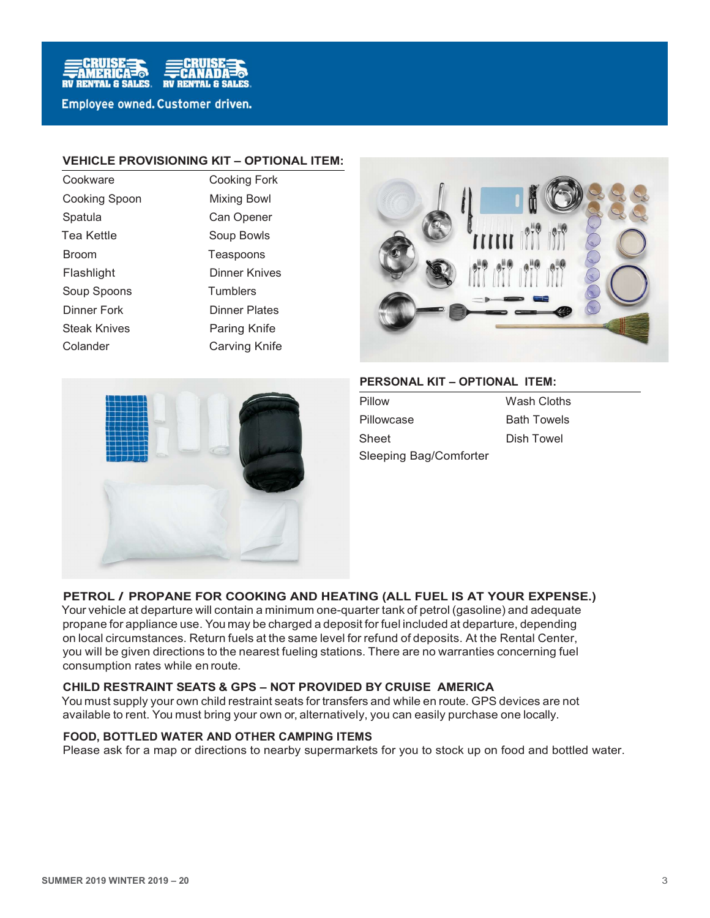

#### VEHICLE PROVISIONING KIT – OPTIONAL ITEM:

| Cookware             |
|----------------------|
| <b>Cooking Spoon</b> |
| Spatula              |
| Tea Kettle           |
| <b>Broom</b>         |
| Flashlight           |
| Soup Spoons          |
| <b>Dinner Fork</b>   |
| <b>Steak Knives</b>  |
| Colander             |

Cooking Fork **Mixing Bowl** Can Opener Soup Bowls Teaspoons **Dinner Knives Tumblers** Dinner Plates Paring Knife Colander Carving Knife





## PERSONAL KIT – OPTIONAL ITEM:

Pillow Wash Cloths Pillowcase **Bath Towels** Sheet Dish Towel Sleeping Bag/Comforter

# PETROL / PROPANE FOR COOKING AND HEATING (ALL FUEL IS AT YOUR EXPENSE.)

Your vehicle at departure will contain a minimum one-quarter tank of petrol (gasoline) and adequate propane for appliance use. You may be charged a deposit for fuel included at departure, depending on local circumstances. Return fuels at the same level for refund of deposits. At the Rental Center, you will be given directions to the nearest fueling stations. There are no warranties concerning fuel consumption rates while en route.

#### CHILD RESTRAINT SEATS & GPS – NOT PROVIDED BY CRUISE AMERICA

You must supply your own child restraint seats for transfers and while en route. GPS devices are not available to rent. You must bring your own or, alternatively, you can easily purchase one locally.

#### FOOD, BOTTLED WATER AND OTHER CAMPING ITEMS

Please ask for a map or directions to nearby supermarkets for you to stock up on food and bottled water.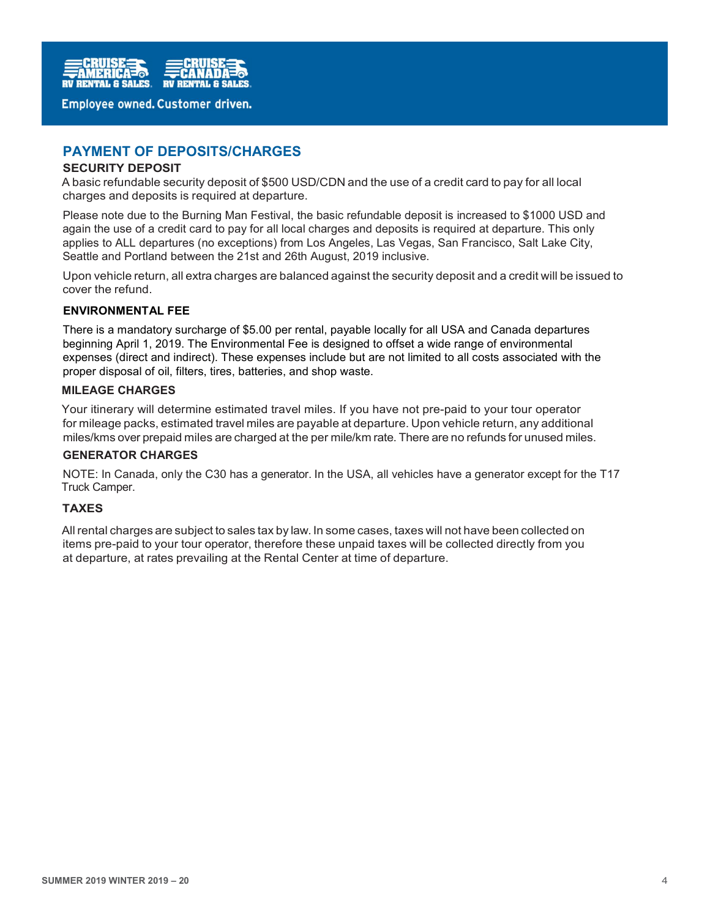

# PAYMENT OF DEPOSITS/CHARGES

#### SECURITY DEPOSIT

A basic refundable security deposit of \$500 USD/CDN and the use of a credit card to pay for all local charges and deposits is required at departure.

Please note due to the Burning Man Festival, the basic refundable deposit is increased to \$1000 USD and again the use of a credit card to pay for all local charges and deposits is required at departure. This only applies to ALL departures (no exceptions) from Los Angeles, Las Vegas, San Francisco, Salt Lake City, Seattle and Portland between the 21st and 26th August, 2019 inclusive.

Upon vehicle return, all extra charges are balanced against the security deposit and a credit will be issued to cover the refund.

#### ENVIRONMENTAL FEE

There is a mandatory surcharge of \$5.00 per rental, payable locally for all USA and Canada departures beginning April 1, 2019. The Environmental Fee is designed to offset a wide range of environmental expenses (direct and indirect). These expenses include but are not limited to all costs associated with the proper disposal of oil, filters, tires, batteries, and shop waste.

#### MILEAGE CHARGES

Your itinerary will determine estimated travel miles. If you have not pre-paid to your tour operator for mileage packs, estimated travel miles are payable at departure. Upon vehicle return, any additional miles/kms over prepaid miles are charged at the per mile/km rate. There are no refunds for unused miles.

#### GENERATOR CHARGES

NOTE: In Canada, only the C30 has a generator. In the USA, all vehicles have a generator except for the T17 Truck Camper.

#### **TAXES**

All rental charges are subject to sales tax by law. In some cases, taxes will not have been collected on items pre-paid to your tour operator, therefore these unpaid taxes will be collected directly from you at departure, at rates prevailing at the Rental Center at time of departure.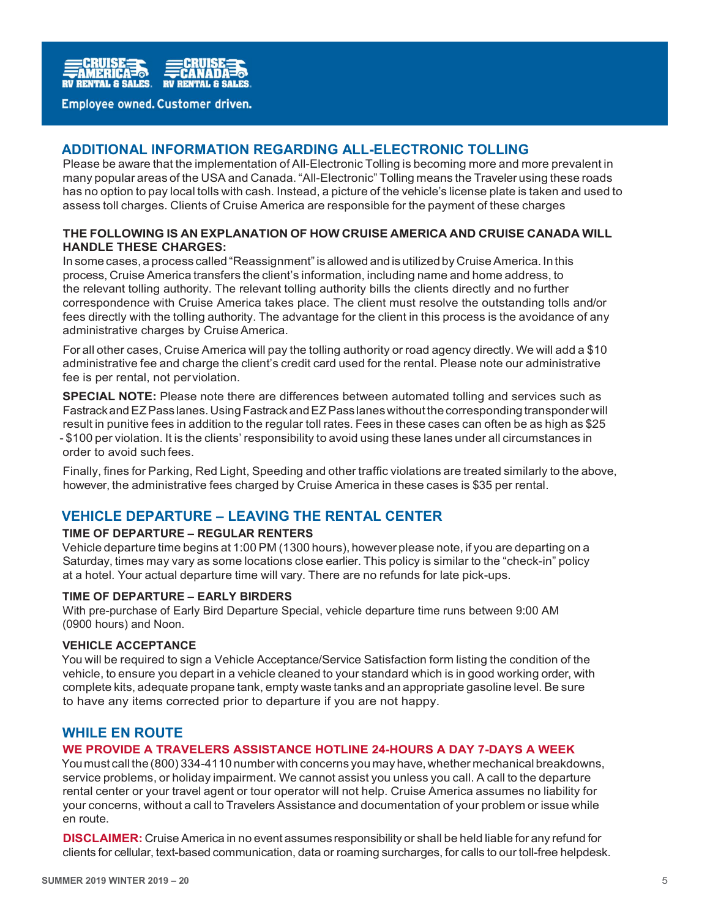

# ADDITIONAL INFORMATION REGARDING ALL-ELECTRONIC TOLLING

Please be aware that the implementation of All-Electronic Tolling is becoming more and more prevalent in many popular areas of the USA and Canada. "All-Electronic" Tolling means the Traveler using these roads has no option to pay local tolls with cash. Instead, a picture of the vehicle's license plate is taken and used to assess toll charges. Clients of Cruise America are responsible for the payment of these charges

## THE FOLLOWING IS AN EXPLANATION OF HOW CRUISE AMERICA AND CRUISE CANADA WILL HANDLE THESE CHARGES:

In some cases, a process called "Reassignment" is allowed and is utilized by Cruise America. In this process, Cruise America transfers the client's information, including name and home address, to the relevant tolling authority. The relevant tolling authority bills the clients directly and no further correspondence with Cruise America takes place. The client must resolve the outstanding tolls and/or fees directly with the tolling authority. The advantage for the client in this process is the avoidance of any administrative charges by Cruise America.

For all other cases, Cruise America will pay the tolling authority or road agency directly. We will add a \$10 administrative fee and charge the client's credit card used for the rental. Please note our administrative fee is per rental, not per violation.

SPECIAL NOTE: Please note there are differences between automated tolling and services such as Fastrack and EZ Pass lanes. Using Fastrack and EZ Pass lanes without the corresponding transponder will result in punitive fees in addition to the regular toll rates. Fees in these cases can often be as high as \$25 - \$100 per violation. It is the clients' responsibility to avoid using these lanes under all circumstances in order to avoid such fees.

Finally, fines for Parking, Red Light, Speeding and other traffic violations are treated similarly to the above, however, the administrative fees charged by Cruise America in these cases is \$35 per rental.

# VEHICLE DEPARTURE – LEAVING THE RENTAL CENTER

# TIME OF DEPARTURE – REGULAR RENTERS

Vehicle departure time begins at 1:00 PM (1300 hours), however please note, if you are departing on a Saturday, times may vary as some locations close earlier. This policy is similar to the "check-in" policy at a hotel. Your actual departure time will vary. There are no refunds for late pick-ups.

#### TIME OF DEPARTURE – EARLY BIRDERS

With pre-purchase of Early Bird Departure Special, vehicle departure time runs between 9:00 AM (0900 hours) and Noon.

#### VEHICLE ACCEPTANCE

You will be required to sign a Vehicle Acceptance/Service Satisfaction form listing the condition of the vehicle, to ensure you depart in a vehicle cleaned to your standard which is in good working order, with complete kits, adequate propane tank, empty waste tanks and an appropriate gasoline level. Be sure to have any items corrected prior to departure if you are not happy.

# WHILE EN ROUTE

#### WE PROVIDE A TRAVELERS ASSISTANCE HOTLINE 24-HOURS A DAY 7-DAYS A WEEK

You must call the (800) 334-4110 number with concerns you may have, whether mechanical breakdowns, service problems, or holiday impairment. We cannot assist you unless you call. A call to the departure rental center or your travel agent or tour operator will not help. Cruise America assumes no liability for your concerns, without a call to Travelers Assistance and documentation of your problem or issue while en route.

DISCLAIMER: Cruise America in no event assumes responsibility or shall be held liable for any refund for clients for cellular, text-based communication, data or roaming surcharges, for calls to our toll-free helpdesk.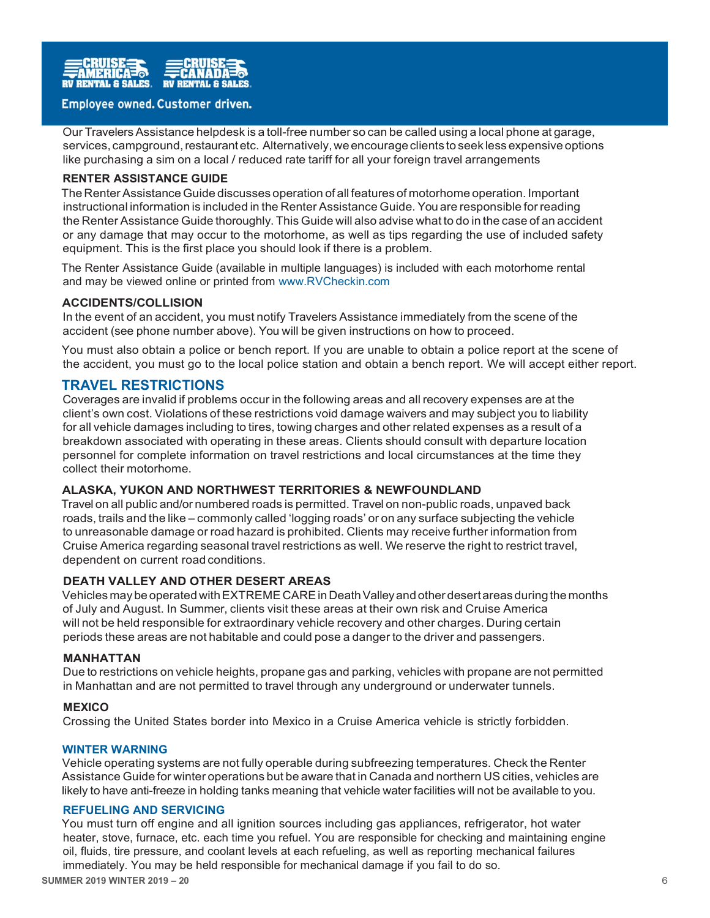

Our Travelers Assistance helpdesk is a toll-free number so can be called using a local phone at garage, services, campground, restaurant etc. Alternatively, we encourage clients to seek less expensive options like purchasing a sim on a local / reduced rate tariff for all your foreign travel arrangements

## RENTER ASSISTANCE GUIDE

The Renter Assistance Guide discusses operation of all features of motorhome operation. Important instructional information is included in the Renter Assistance Guide. You are responsible for reading the Renter Assistance Guide thoroughly. This Guide will also advise what to do in the case of an accident or any damage that may occur to the motorhome, as well as tips regarding the use of included safety equipment. This is the first place you should look if there is a problem.

The Renter Assistance Guide (available in multiple languages) is included with each motorhome rental and may be viewed online or printed from www.RVCheckin.com

#### ACCIDENTS/COLLISION

In the event of an accident, you must notify Travelers Assistance immediately from the scene of the accident (see phone number above). You will be given instructions on how to proceed.

You must also obtain a police or bench report. If you are unable to obtain a police report at the scene of the accident, you must go to the local police station and obtain a bench report. We will accept either report.

# TRAVEL RESTRICTIONS

Coverages are invalid if problems occur in the following areas and all recovery expenses are at the client's own cost. Violations of these restrictions void damage waivers and may subject you to liability for all vehicle damages including to tires, towing charges and other related expenses as a result of a breakdown associated with operating in these areas. Clients should consult with departure location personnel for complete information on travel restrictions and local circumstances at the time they collect their motorhome.

## ALASKA, YUKON AND NORTHWEST TERRITORIES & NEWFOUNDLAND

Travel on all public and/or numbered roads is permitted. Travel on non-public roads, unpaved back roads, trails and the like – commonly called 'logging roads' or on any surface subjecting the vehicle to unreasonable damage or road hazard is prohibited. Clients may receive further information from Cruise America regarding seasonal travel restrictions as well. We reserve the right to restrict travel, dependent on current road conditions.

#### DEATH VALLEY AND OTHER DESERT AREAS

Vehicles may be operated with EXTREME CARE in Death Valley and other desert areas during the months of July and August. In Summer, clients visit these areas at their own risk and Cruise America will not be held responsible for extraordinary vehicle recovery and other charges. During certain periods these areas are not habitable and could pose a danger to the driver and passengers.

#### MANHATTAN

Due to restrictions on vehicle heights, propane gas and parking, vehicles with propane are not permitted in Manhattan and are not permitted to travel through any underground or underwater tunnels.

#### **MEXICO**

Crossing the United States border into Mexico in a Cruise America vehicle is strictly forbidden.

#### WINTER WARNING

Vehicle operating systems are not fully operable during subfreezing temperatures. Check the Renter Assistance Guide for winter operations but be aware that in Canada and northern US cities, vehicles are likely to have anti-freeze in holding tanks meaning that vehicle water facilities will not be available to you.

#### REFUELING AND SERVICING

You must turn off engine and all ignition sources including gas appliances, refrigerator, hot water heater, stove, furnace, etc. each time you refuel. You are responsible for checking and maintaining engine oil, fluids, tire pressure, and coolant levels at each refueling, as well as reporting mechanical failures immediately. You may be held responsible for mechanical damage if you fail to do so.

SUMMER 2019 WINTER 2019 – 20 6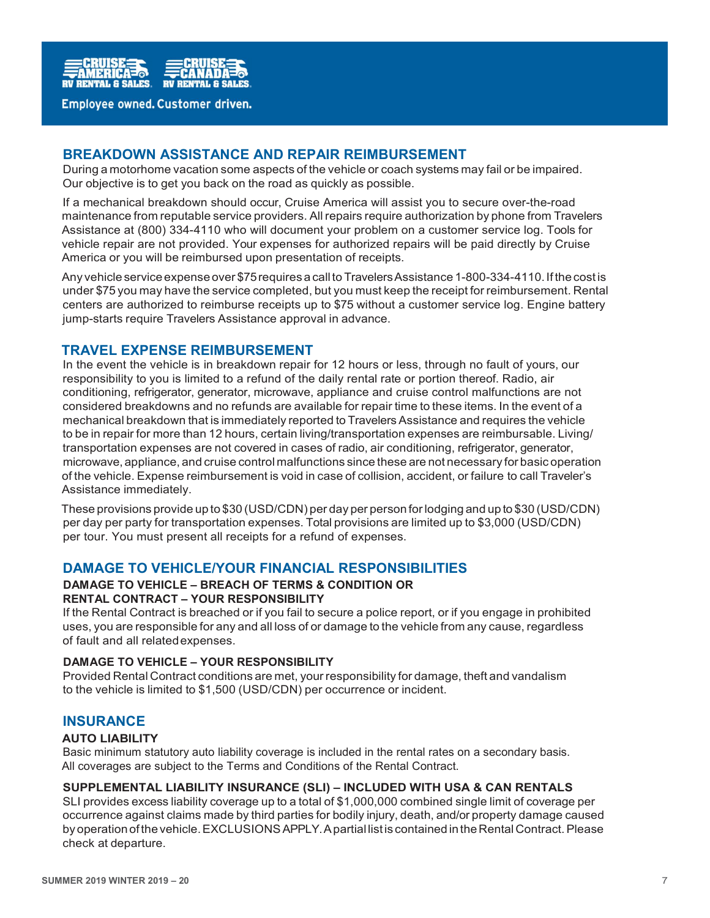

# BREAKDOWN ASSISTANCE AND REPAIR REIMBURSEMENT

During a motorhome vacation some aspects of the vehicle or coach systems may fail or be impaired. Our objective is to get you back on the road as quickly as possible.

If a mechanical breakdown should occur, Cruise America will assist you to secure over-the-road maintenance from reputable service providers. All repairs require authorization by phone from Travelers Assistance at (800) 334-4110 who will document your problem on a customer service log. Tools for vehicle repair are not provided. Your expenses for authorized repairs will be paid directly by Cruise America or you will be reimbursed upon presentation of receipts.

Any vehicle service expense over \$75 requires a call to Travelers Assistance 1-800-334-4110. If the cost is under \$75 you may have the service completed, but you must keep the receipt for reimbursement. Rental centers are authorized to reimburse receipts up to \$75 without a customer service log. Engine battery jump-starts require Travelers Assistance approval in advance.

# TRAVEL EXPENSE REIMBURSEMENT

In the event the vehicle is in breakdown repair for 12 hours or less, through no fault of yours, our responsibility to you is limited to a refund of the daily rental rate or portion thereof. Radio, air conditioning, refrigerator, generator, microwave, appliance and cruise control malfunctions are not considered breakdowns and no refunds are available for repair time to these items. In the event of a mechanical breakdown that is immediately reported to Travelers Assistance and requires the vehicle to be in repair for more than 12 hours, certain living/transportation expenses are reimbursable. Living/ transportation expenses are not covered in cases of radio, air conditioning, refrigerator, generator, microwave, appliance, and cruise control malfunctions since these are not necessary for basic operation of the vehicle. Expense reimbursement is void in case of collision, accident, or failure to call Traveler's Assistance immediately.

These provisions provide up to \$30 (USD/CDN) per day per person for lodging and up to \$30 (USD/CDN) per day per party for transportation expenses. Total provisions are limited up to \$3,000 (USD/CDN) per tour. You must present all receipts for a refund of expenses.

# DAMAGE TO VEHICLE/YOUR FINANCIAL RESPONSIBILITIES

## DAMAGE TO VEHICLE – BREACH OF TERMS & CONDITION OR RENTAL CONTRACT – YOUR RESPONSIBILITY

If the Rental Contract is breached or if you fail to secure a police report, or if you engage in prohibited uses, you are responsible for any and all loss of or damage to the vehicle from any cause, regardless of fault and all related expenses.

#### DAMAGE TO VEHICLE – YOUR RESPONSIBILITY

Provided Rental Contract conditions are met, your responsibility for damage, theft and vandalism to the vehicle is limited to \$1,500 (USD/CDN) per occurrence or incident.

# **INSURANCE**

#### AUTO LIABILITY

Basic minimum statutory auto liability coverage is included in the rental rates on a secondary basis. All coverages are subject to the Terms and Conditions of the Rental Contract.

#### SUPPLEMENTAL LIABILITY INSURANCE (SLI) – INCLUDED WITH USA & CAN RENTALS

SLI provides excess liability coverage up to a total of \$1,000,000 combined single limit of coverage per occurrence against claims made by third parties for bodily injury, death, and/or property damage caused by operation of the vehicle. EXCLUSIONS APPLY. A partial list is contained in the Rental Contract. Please check at departure.